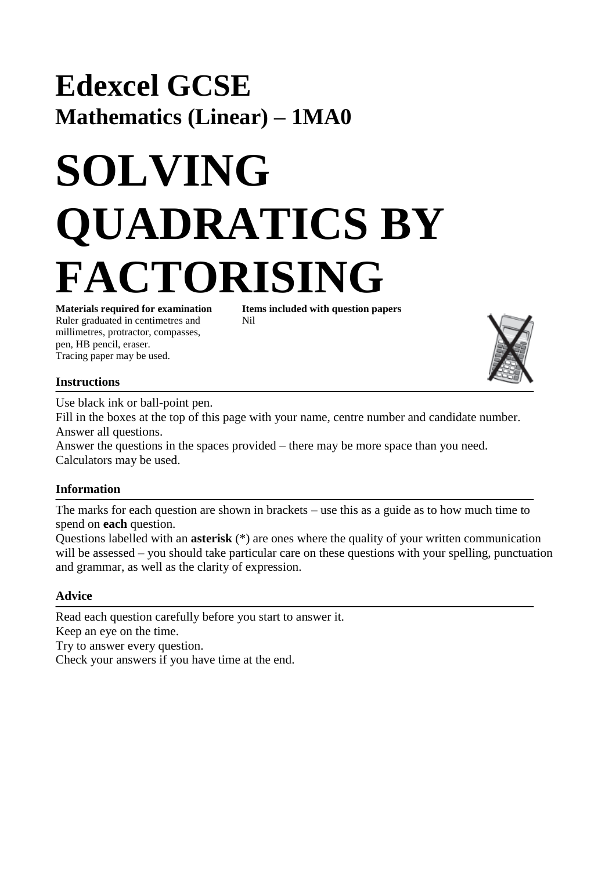## **Edexcel GCSE Mathematics (Linear) – 1MA0**

# **SOLVING QUADRATICS BY FACTORISING**

Ruler graduated in centimetres and Nil millimetres, protractor, compasses, pen, HB pencil, eraser. Tracing paper may be used.

**Materials required for examination Items included with question papers** 

#### **Instructions**

Use black ink or ball-point pen.

Fill in the boxes at the top of this page with your name, centre number and candidate number. Answer all questions.

Answer the questions in the spaces provided – there may be more space than you need. Calculators may be used.

### **Information**

The marks for each question are shown in brackets – use this as a guide as to how much time to spend on **each** question.

Questions labelled with an **asterisk** (\*) are ones where the quality of your written communication will be assessed – you should take particular care on these questions with your spelling, punctuation and grammar, as well as the clarity of expression.

#### **Advice**

Read each question carefully before you start to answer it. Keep an eye on the time. Try to answer every question. Check your answers if you have time at the end.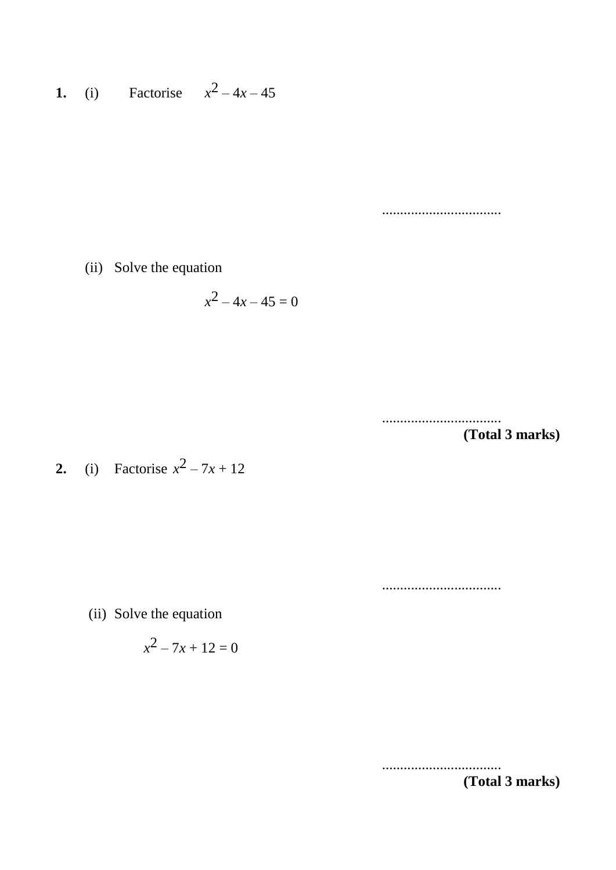**1.** (i) Factorise  $x^2 - 4x - 45$ 

.................................

(ii) Solve the equation

$$
x^2 - 4x - 45 = 0
$$

................................. **(Total 3 marks)**

**2.** (i) Factorise  $x^2 - 7x + 12$ 

.................................

(ii) Solve the equation

$$
x^2 - 7x + 12 = 0
$$

................................. **(Total 3 marks)**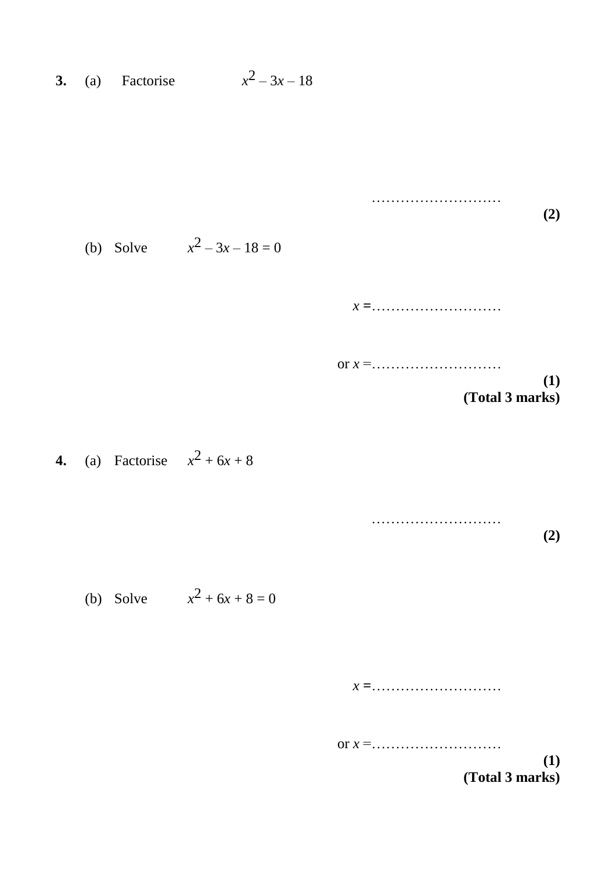**3.** (a) Factorise  $x^2 - 3x - 18$ 

**(2)** (b) Solve  $x^2 - 3x - 18 = 0$ *x* **=**……………………… or *x* =……………………… **(1) (Total 3 marks) 4.** (a) Factorise  $x^2 + 6x + 8$ 

………………………

(b) Solve  $x^2 + 6x + 8 = 0$ 

*x* **=**………………………

or *x* =………………………

**(1) (Total 3 marks)**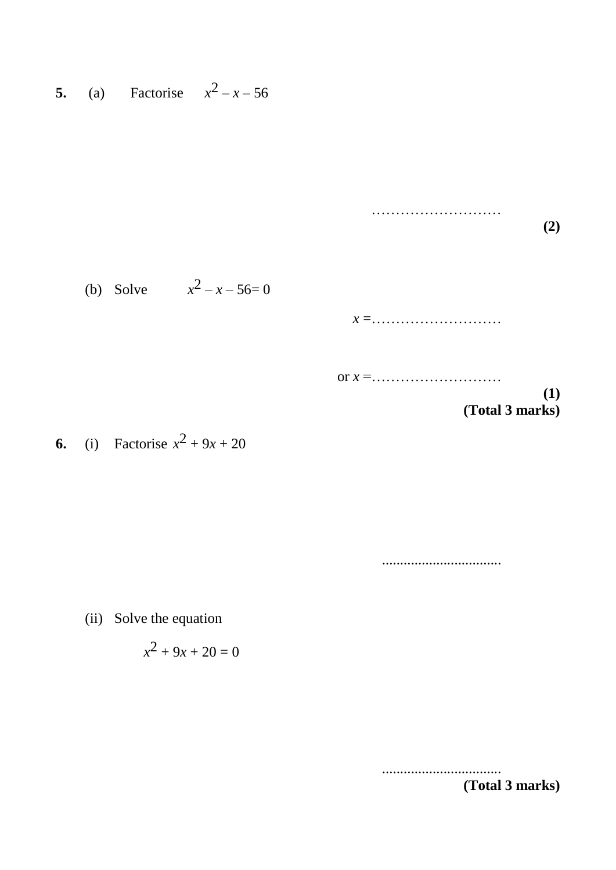**5.** (a) Factorise  $x^2 - x - 56$ 

……………………… **(2)** (b) Solve  $x^2 - x - 56 = 0$ *x* **=**……………………… or *x* =……………………… **(1) (Total 3 marks)**

**6.** (i) Factorise  $x^2 + 9x + 20$ 

.................................

(ii) Solve the equation

$$
x^2+9x+20=0
$$

................................. **(Total 3 marks)**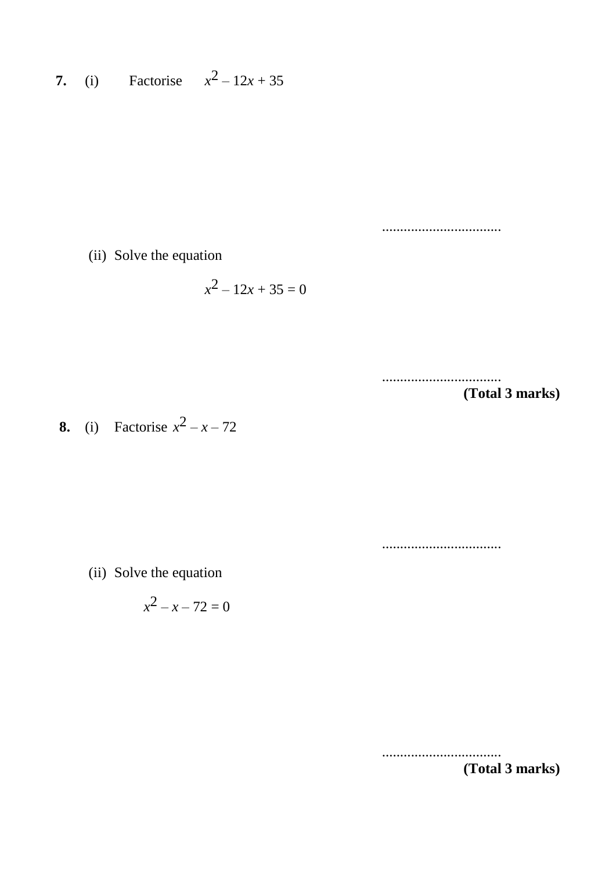**7.** (i) Factorise  $x^2 - 12x + 35$ 

.................................

(ii) Solve the equation

$$
x^2 - 12x + 35 = 0
$$

.................................

**(Total 3 marks)**

**8.** (i) Factorise  $x^2 - x - 72$ 

.................................

(ii) Solve the equation

$$
x^2 - x - 72 = 0
$$

.................................

**(Total 3 marks)**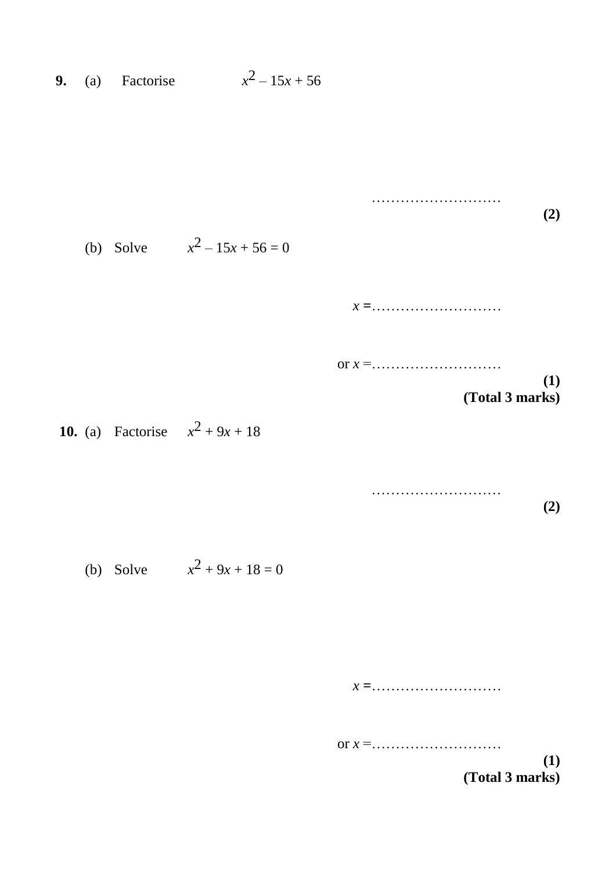**9.** (a) Factorise  $x^2 - 15x + 56$ 



(b) Solve 
$$
x^2 + 9x + 18 = 0
$$

*x* **=**………………………

or *x* =………………………

**(1) (Total 3 marks)**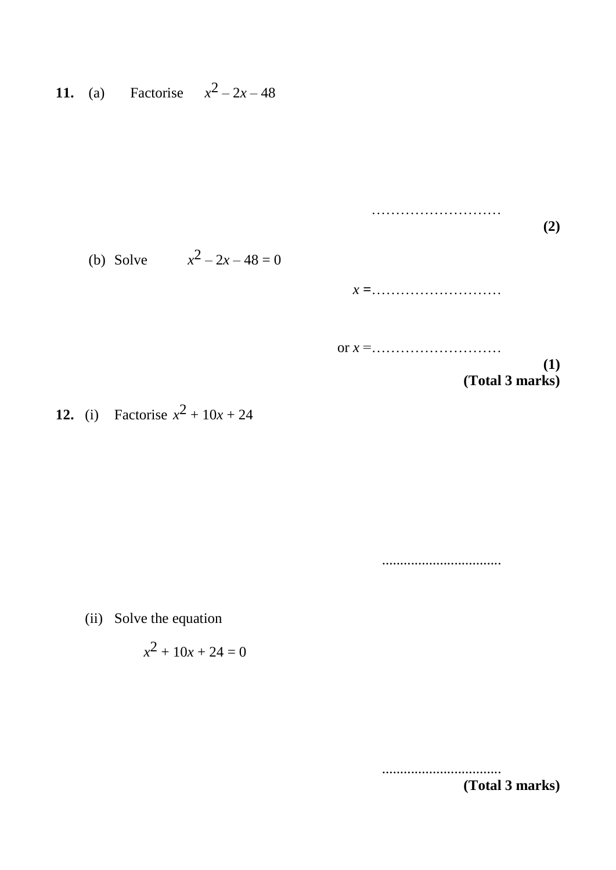**11.** (a) Factorise  $x^2 - 2x - 48$ 

|                               | $\mathbf{2}$           |
|-------------------------------|------------------------|
| (b) Solve $x^2 - 2x - 48 = 0$ |                        |
|                               | $x =$                  |
|                               |                        |
|                               | (1)<br>(Total 3 marks) |

**12.** (i) Factorise  $x^2 + 10x + 24$ 

.................................

………………………

(ii) Solve the equation

$$
x^2 + 10x + 24 = 0
$$

................................. **(Total 3 marks)**